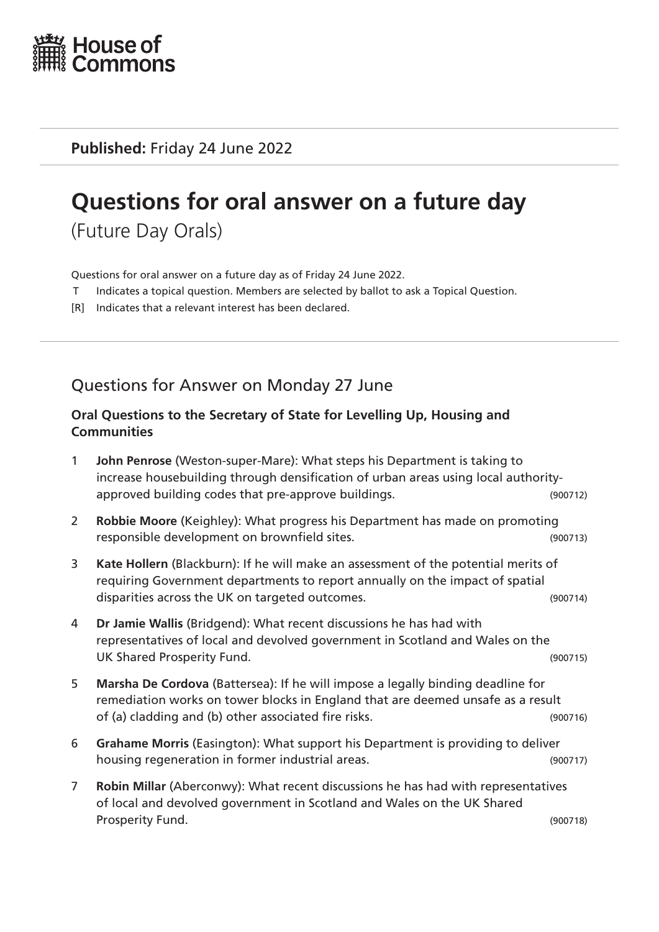

**Published:** Friday 24 June 2022

# **Questions for oral answer on a future day**

(Future Day Orals)

Questions for oral answer on a future day as of Friday 24 June 2022.

- T Indicates a topical question. Members are selected by ballot to ask a Topical Question.
- [R] Indicates that a relevant interest has been declared.

Questions for Answer on Monday 27 June

### **Oral Questions to the Secretary of State for Levelling Up, Housing and Communities**

- 1 **John Penrose** (Weston-super-Mare): What steps his Department is taking to increase housebuilding through densification of urban areas using local authorityapproved building codes that pre-approve buildings. The manner of the second section of the second section of
- 2 **Robbie Moore** (Keighley): What progress his Department has made on promoting responsible development on brownfield sites. (900713)
- 3 **Kate Hollern** (Blackburn): If he will make an assessment of the potential merits of requiring Government departments to report annually on the impact of spatial disparities across the UK on targeted outcomes. (900714)
- 4 **Dr Jamie Wallis** (Bridgend): What recent discussions he has had with representatives of local and devolved government in Scotland and Wales on the UK Shared Prosperity Fund. (900715)
- 5 **Marsha De Cordova** (Battersea): If he will impose a legally binding deadline for remediation works on tower blocks in England that are deemed unsafe as a result of (a) cladding and (b) other associated fire risks. (900716)
- 6 **Grahame Morris** (Easington): What support his Department is providing to deliver housing regeneration in former industrial areas. (900717)
- 7 **Robin Millar** (Aberconwy): What recent discussions he has had with representatives of local and devolved government in Scotland and Wales on the UK Shared Prosperity Fund. (900718)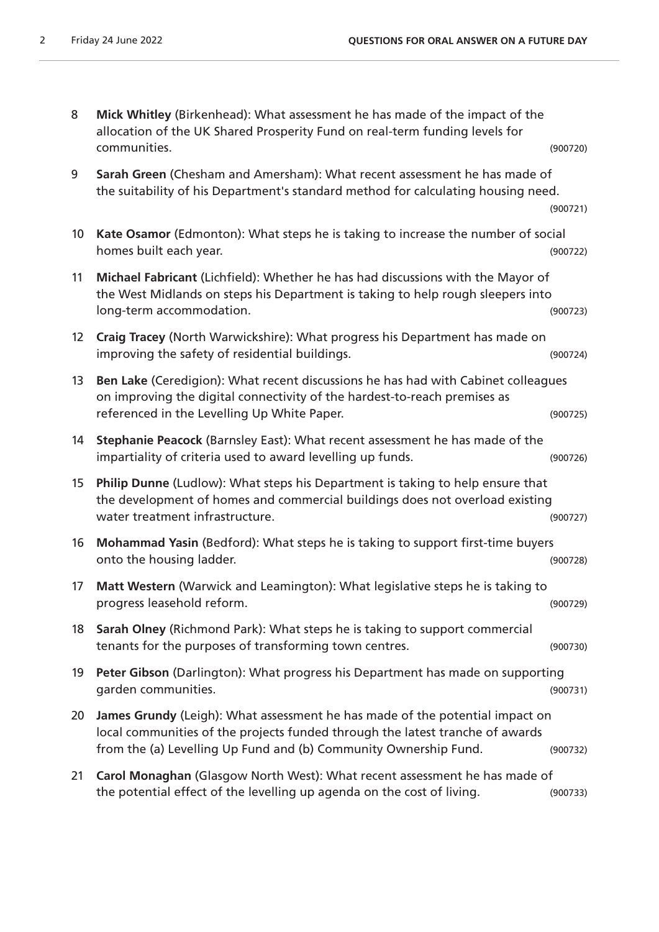| 8  | Mick Whitley (Birkenhead): What assessment he has made of the impact of the<br>allocation of the UK Shared Prosperity Fund on real-term funding levels for<br>communities.                                                        | (900720) |
|----|-----------------------------------------------------------------------------------------------------------------------------------------------------------------------------------------------------------------------------------|----------|
| 9  | Sarah Green (Chesham and Amersham): What recent assessment he has made of<br>the suitability of his Department's standard method for calculating housing need.                                                                    | (900721) |
| 10 | Kate Osamor (Edmonton): What steps he is taking to increase the number of social<br>homes built each year.                                                                                                                        | (900722) |
| 11 | Michael Fabricant (Lichfield): Whether he has had discussions with the Mayor of<br>the West Midlands on steps his Department is taking to help rough sleepers into<br>long-term accommodation.                                    | (900723) |
| 12 | Craig Tracey (North Warwickshire): What progress his Department has made on<br>improving the safety of residential buildings.                                                                                                     | (900724) |
| 13 | Ben Lake (Ceredigion): What recent discussions he has had with Cabinet colleagues<br>on improving the digital connectivity of the hardest-to-reach premises as<br>referenced in the Levelling Up White Paper.                     | (900725) |
| 14 | Stephanie Peacock (Barnsley East): What recent assessment he has made of the<br>impartiality of criteria used to award levelling up funds.                                                                                        | (900726) |
| 15 | Philip Dunne (Ludlow): What steps his Department is taking to help ensure that<br>the development of homes and commercial buildings does not overload existing<br>water treatment infrastructure.                                 | (900727) |
| 16 | Mohammad Yasin (Bedford): What steps he is taking to support first-time buyers<br>onto the housing ladder.                                                                                                                        | (900728) |
| 17 | Matt Western (Warwick and Leamington): What legislative steps he is taking to<br>progress leasehold reform.                                                                                                                       | (900729) |
| 18 | Sarah Olney (Richmond Park): What steps he is taking to support commercial<br>tenants for the purposes of transforming town centres.                                                                                              | (900730) |
| 19 | Peter Gibson (Darlington): What progress his Department has made on supporting<br>garden communities.                                                                                                                             | (900731) |
| 20 | James Grundy (Leigh): What assessment he has made of the potential impact on<br>local communities of the projects funded through the latest tranche of awards<br>from the (a) Levelling Up Fund and (b) Community Ownership Fund. | (900732) |
| 21 | Carol Monaghan (Glasgow North West): What recent assessment he has made of<br>the potential effect of the levelling up agenda on the cost of living.                                                                              | (900733) |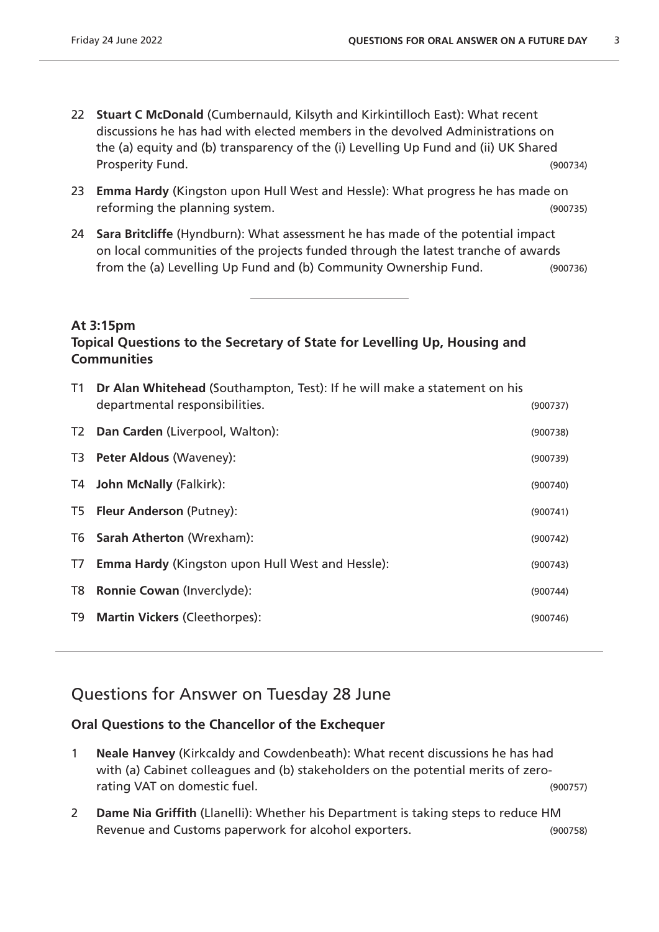- 22 **Stuart C McDonald** (Cumbernauld, Kilsyth and Kirkintilloch East): What recent discussions he has had with elected members in the devolved Administrations on the (a) equity and (b) transparency of the (i) Levelling Up Fund and (ii) UK Shared Prosperity Fund. (900734)
- 23 **Emma Hardy** (Kingston upon Hull West and Hessle): What progress he has made on reforming the planning system. (900735)
- 24 **Sara Britcliffe** (Hyndburn): What assessment he has made of the potential impact on local communities of the projects funded through the latest tranche of awards from the (a) Levelling Up Fund and (b) Community Ownership Fund. (900736)

#### **At 3:15pm**

### **Topical Questions to the Secretary of State for Levelling Up, Housing and Communities**

| T1             | Dr Alan Whitehead (Southampton, Test): If he will make a statement on his<br>departmental responsibilities. | (900737) |
|----------------|-------------------------------------------------------------------------------------------------------------|----------|
| T <sub>2</sub> | Dan Carden (Liverpool, Walton):                                                                             | (900738) |
| T3             | <b>Peter Aldous (Waveney):</b>                                                                              | (900739) |
| T4             | <b>John McNally (Falkirk):</b>                                                                              | (900740) |
|                | T5 Fleur Anderson (Putney):                                                                                 | (900741) |
|                | T6 Sarah Atherton (Wrexham):                                                                                | (900742) |
| T7             | <b>Emma Hardy (Kingston upon Hull West and Hessle):</b>                                                     | (900743) |
| T <sub>8</sub> | <b>Ronnie Cowan (Inverclyde):</b>                                                                           | (900744) |
| T9             | <b>Martin Vickers (Cleethorpes):</b>                                                                        | (900746) |
|                |                                                                                                             |          |

# Questions for Answer on Tuesday 28 June

### **Oral Questions to the Chancellor of the Exchequer**

- 1 **Neale Hanvey** (Kirkcaldy and Cowdenbeath): What recent discussions he has had with (a) Cabinet colleagues and (b) stakeholders on the potential merits of zerorating VAT on domestic fuel. (900757)
- 2 **Dame Nia Griffith** (Llanelli): Whether his Department is taking steps to reduce HM Revenue and Customs paperwork for alcohol exporters. (900758)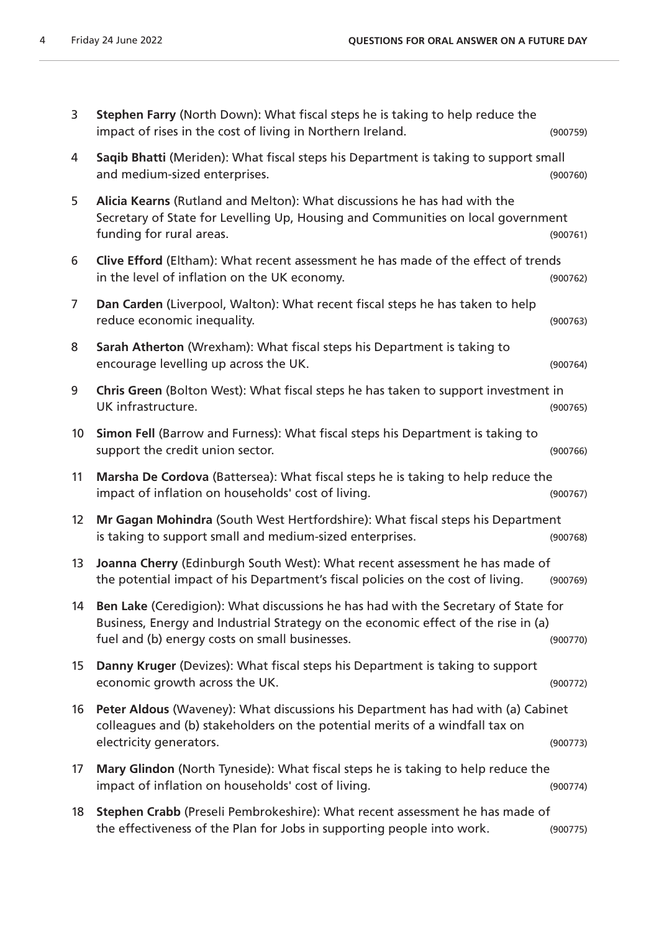| 3                | Stephen Farry (North Down): What fiscal steps he is taking to help reduce the<br>impact of rises in the cost of living in Northern Ireland.                                                                                | (900759) |
|------------------|----------------------------------------------------------------------------------------------------------------------------------------------------------------------------------------------------------------------------|----------|
| 4                | Saqib Bhatti (Meriden): What fiscal steps his Department is taking to support small<br>and medium-sized enterprises.                                                                                                       | (900760) |
| 5                | Alicia Kearns (Rutland and Melton): What discussions he has had with the<br>Secretary of State for Levelling Up, Housing and Communities on local government<br>funding for rural areas.                                   | (900761) |
| 6                | Clive Efford (Eltham): What recent assessment he has made of the effect of trends<br>in the level of inflation on the UK economy.                                                                                          | (900762) |
| 7                | Dan Carden (Liverpool, Walton): What recent fiscal steps he has taken to help<br>reduce economic inequality.                                                                                                               | (900763) |
| 8                | Sarah Atherton (Wrexham): What fiscal steps his Department is taking to<br>encourage levelling up across the UK.                                                                                                           | (900764) |
| 9                | Chris Green (Bolton West): What fiscal steps he has taken to support investment in<br>UK infrastructure.                                                                                                                   | (900765) |
| 10 <sup>°</sup>  | Simon Fell (Barrow and Furness): What fiscal steps his Department is taking to<br>support the credit union sector.                                                                                                         | (900766) |
| 11               | Marsha De Cordova (Battersea): What fiscal steps he is taking to help reduce the<br>impact of inflation on households' cost of living.                                                                                     | (900767) |
| 12 <sup>2</sup>  | Mr Gagan Mohindra (South West Hertfordshire): What fiscal steps his Department<br>is taking to support small and medium-sized enterprises.                                                                                 | (900768) |
| 13               | Joanna Cherry (Edinburgh South West): What recent assessment he has made of<br>the potential impact of his Department's fiscal policies on the cost of living.                                                             | (900769) |
| 14               | Ben Lake (Ceredigion): What discussions he has had with the Secretary of State for<br>Business, Energy and Industrial Strategy on the economic effect of the rise in (a)<br>fuel and (b) energy costs on small businesses. | (900770) |
| 15 <sub>15</sub> | Danny Kruger (Devizes): What fiscal steps his Department is taking to support<br>economic growth across the UK.                                                                                                            | (900772) |
| 16               | Peter Aldous (Waveney): What discussions his Department has had with (a) Cabinet<br>colleagues and (b) stakeholders on the potential merits of a windfall tax on<br>electricity generators.                                | (900773) |
| 17               | Mary Glindon (North Tyneside): What fiscal steps he is taking to help reduce the<br>impact of inflation on households' cost of living.                                                                                     | (900774) |
| 18               | Stephen Crabb (Preseli Pembrokeshire): What recent assessment he has made of<br>the effectiveness of the Plan for Jobs in supporting people into work.                                                                     | (900775) |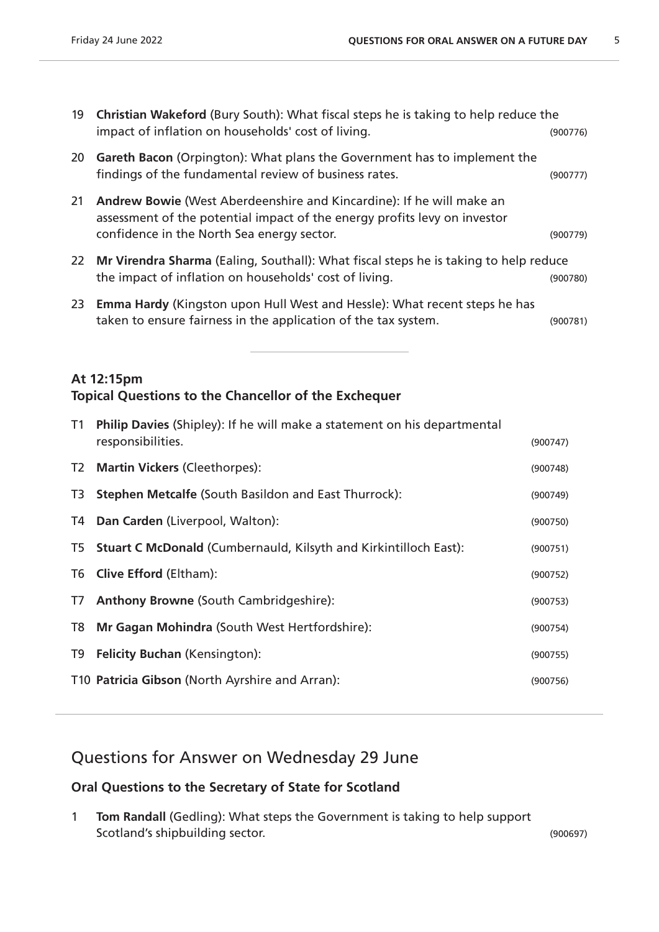| 19        | <b>Christian Wakeford (Bury South): What fiscal steps he is taking to help reduce the</b><br>impact of inflation on households' cost of living.                                                        | (900776) |
|-----------|--------------------------------------------------------------------------------------------------------------------------------------------------------------------------------------------------------|----------|
| 20        | <b>Gareth Bacon</b> (Orpington): What plans the Government has to implement the<br>findings of the fundamental review of business rates.                                                               | (900777) |
| 21        | <b>Andrew Bowie (West Aberdeenshire and Kincardine): If he will make an</b><br>assessment of the potential impact of the energy profits levy on investor<br>confidence in the North Sea energy sector. | (900779) |
| <b>22</b> | Mr Virendra Sharma (Ealing, Southall): What fiscal steps he is taking to help reduce<br>the impact of inflation on households' cost of living.                                                         | (900780) |
| 23        | <b>Emma Hardy</b> (Kingston upon Hull West and Hessle): What recent steps he has<br>taken to ensure fairness in the application of the tax system.                                                     | (900781) |

### **At 12:15pm Topical Questions to the Chancellor of the Exchequer**

| T1 | Philip Davies (Shipley): If he will make a statement on his departmental<br>responsibilities. | (900747) |
|----|-----------------------------------------------------------------------------------------------|----------|
|    | T2 Martin Vickers (Cleethorpes):                                                              | (900748) |
| T3 | <b>Stephen Metcalfe (South Basildon and East Thurrock):</b>                                   | (900749) |
|    | T4 Dan Carden (Liverpool, Walton):                                                            | (900750) |
|    | T5 Stuart C McDonald (Cumbernauld, Kilsyth and Kirkintilloch East):                           | (900751) |
|    | T6 Clive Efford (Eltham):                                                                     | (900752) |
| T7 | <b>Anthony Browne (South Cambridgeshire):</b>                                                 | (900753) |
| T8 | Mr Gagan Mohindra (South West Hertfordshire):                                                 | (900754) |
| T9 | <b>Felicity Buchan (Kensington):</b>                                                          | (900755) |
|    | T10 Patricia Gibson (North Ayrshire and Arran):                                               | (900756) |
|    |                                                                                               |          |

# Questions for Answer on Wednesday 29 June

### **Oral Questions to the Secretary of State for Scotland**

1 **Tom Randall** (Gedling): What steps the Government is taking to help support Scotland's shipbuilding sector. The sector of the sector of the sector of the sector of the sector.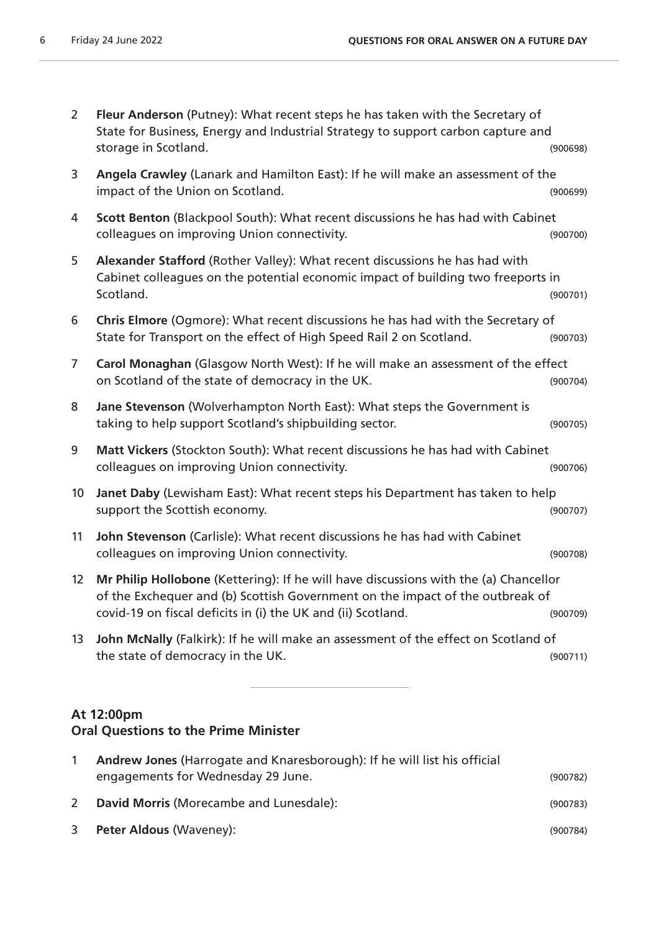| $\overline{2}$ | Fleur Anderson (Putney): What recent steps he has taken with the Secretary of<br>State for Business, Energy and Industrial Strategy to support carbon capture and<br>storage in Scotland.                                             | (900698) |
|----------------|---------------------------------------------------------------------------------------------------------------------------------------------------------------------------------------------------------------------------------------|----------|
| 3              | Angela Crawley (Lanark and Hamilton East): If he will make an assessment of the<br>impact of the Union on Scotland.                                                                                                                   | (900699) |
| 4              | Scott Benton (Blackpool South): What recent discussions he has had with Cabinet<br>colleagues on improving Union connectivity.                                                                                                        | (900700) |
| 5              | Alexander Stafford (Rother Valley): What recent discussions he has had with<br>Cabinet colleagues on the potential economic impact of building two freeports in<br>Scotland.                                                          | (900701) |
| 6              | Chris Elmore (Ogmore): What recent discussions he has had with the Secretary of<br>State for Transport on the effect of High Speed Rail 2 on Scotland.                                                                                | (900703) |
| $\overline{7}$ | Carol Monaghan (Glasgow North West): If he will make an assessment of the effect<br>on Scotland of the state of democracy in the UK.                                                                                                  | (900704) |
| 8              | Jane Stevenson (Wolverhampton North East): What steps the Government is<br>taking to help support Scotland's shipbuilding sector.                                                                                                     | (900705) |
| 9              | Matt Vickers (Stockton South): What recent discussions he has had with Cabinet<br>colleagues on improving Union connectivity.                                                                                                         | (900706) |
| 10             | Janet Daby (Lewisham East): What recent steps his Department has taken to help<br>support the Scottish economy.                                                                                                                       | (900707) |
| 11             | John Stevenson (Carlisle): What recent discussions he has had with Cabinet<br>colleagues on improving Union connectivity.                                                                                                             | (900708) |
| 12             | Mr Philip Hollobone (Kettering): If he will have discussions with the (a) Chancellor<br>of the Exchequer and (b) Scottish Government on the impact of the outbreak of<br>covid-19 on fiscal deficits in (i) the UK and (ii) Scotland. | (900709) |
| 13             | John McNally (Falkirk): If he will make an assessment of the effect on Scotland of<br>the state of democracy in the UK.                                                                                                               | (900711) |
|                | At 12:00pm                                                                                                                                                                                                                            |          |

### **Oral Questions to the Prime Minister**

| Andrew Jones (Harrogate and Knaresborough): If he will list his official |          |
|--------------------------------------------------------------------------|----------|
| engagements for Wednesday 29 June.                                       | (900782) |
| David Morris (Morecambe and Lunesdale):                                  | (900783) |
| <b>Peter Aldous (Waveney):</b>                                           | (900784) |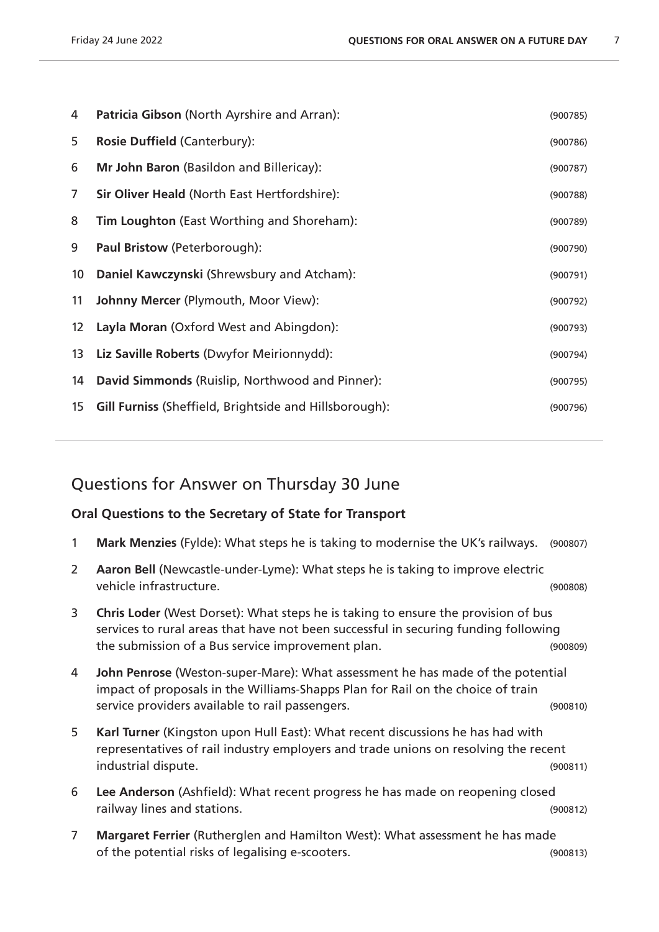| 4                 | Patricia Gibson (North Ayrshire and Arran):                   | (900785) |
|-------------------|---------------------------------------------------------------|----------|
| 5                 | Rosie Duffield (Canterbury):                                  | (900786) |
| 6                 | Mr John Baron (Basildon and Billericay):                      | (900787) |
| 7                 | <b>Sir Oliver Heald (North East Hertfordshire):</b>           | (900788) |
| 8                 | <b>Tim Loughton</b> (East Worthing and Shoreham):             | (900789) |
| 9                 | Paul Bristow (Peterborough):                                  | (900790) |
| 10 <sup>°</sup>   | Daniel Kawczynski (Shrewsbury and Atcham):                    | (900791) |
| 11                | Johnny Mercer (Plymouth, Moor View):                          | (900792) |
| $12 \overline{ }$ | Layla Moran (Oxford West and Abingdon):                       | (900793) |
| 13                | Liz Saville Roberts (Dwyfor Meirionnydd):                     | (900794) |
| 14                | David Simmonds (Ruislip, Northwood and Pinner):               | (900795) |
| 15                | <b>Gill Furniss (Sheffield, Brightside and Hillsborough):</b> | (900796) |

# Questions for Answer on Thursday 30 June

### **Oral Questions to the Secretary of State for Transport**

- **Mark Menzies** (Fylde): What steps he is taking to modernise the UK's railways. (900807)
- **Aaron Bell** (Newcastle-under-Lyme): What steps he is taking to improve electric vehicle infrastructure. (900808)
- **Chris Loder** (West Dorset): What steps he is taking to ensure the provision of bus services to rural areas that have not been successful in securing funding following the submission of a Bus service improvement plan. (900809)
- **John Penrose** (Weston-super-Mare): What assessment he has made of the potential impact of proposals in the Williams-Shapps Plan for Rail on the choice of train service providers available to rail passengers. The service providers available to rail passengers.
- **Karl Turner** (Kingston upon Hull East): What recent discussions he has had with representatives of rail industry employers and trade unions on resolving the recent industrial dispute. (900811)
- **Lee Anderson** (Ashfield): What recent progress he has made on reopening closed railway lines and stations. (900812)
- **Margaret Ferrier** (Rutherglen and Hamilton West): What assessment he has made of the potential risks of legalising e-scooters. (900813)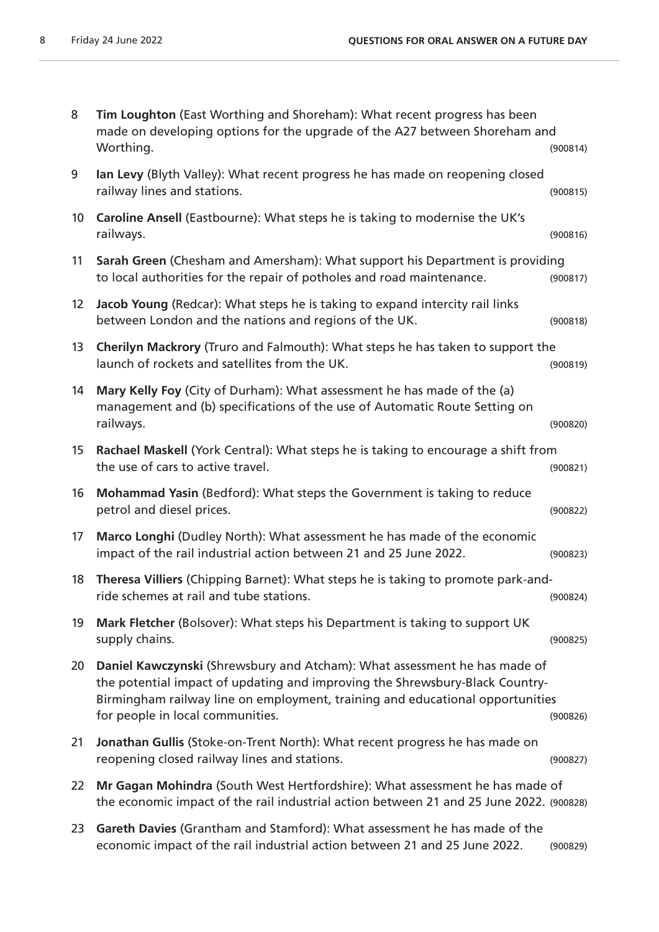| 8                 | Tim Loughton (East Worthing and Shoreham): What recent progress has been<br>made on developing options for the upgrade of the A27 between Shoreham and<br>Worthing.                                                                                                            | (900814) |
|-------------------|--------------------------------------------------------------------------------------------------------------------------------------------------------------------------------------------------------------------------------------------------------------------------------|----------|
| 9                 | Ian Levy (Blyth Valley): What recent progress he has made on reopening closed<br>railway lines and stations.                                                                                                                                                                   | (900815) |
| 10 <sup>°</sup>   | Caroline Ansell (Eastbourne): What steps he is taking to modernise the UK's<br>railways.                                                                                                                                                                                       | (900816) |
| 11                | Sarah Green (Chesham and Amersham): What support his Department is providing<br>to local authorities for the repair of potholes and road maintenance.                                                                                                                          | (900817) |
| $12 \overline{ }$ | Jacob Young (Redcar): What steps he is taking to expand intercity rail links<br>between London and the nations and regions of the UK.                                                                                                                                          | (900818) |
| 13                | Cherilyn Mackrory (Truro and Falmouth): What steps he has taken to support the<br>launch of rockets and satellites from the UK.                                                                                                                                                | (900819) |
| 14                | Mary Kelly Foy (City of Durham): What assessment he has made of the (a)<br>management and (b) specifications of the use of Automatic Route Setting on<br>railways.                                                                                                             | (900820) |
| 15                | Rachael Maskell (York Central): What steps he is taking to encourage a shift from<br>the use of cars to active travel.                                                                                                                                                         | (900821) |
| 16                | Mohammad Yasin (Bedford): What steps the Government is taking to reduce<br>petrol and diesel prices.                                                                                                                                                                           | (900822) |
| 17                | Marco Longhi (Dudley North): What assessment he has made of the economic<br>impact of the rail industrial action between 21 and 25 June 2022.                                                                                                                                  | (900823) |
| 18                | Theresa Villiers (Chipping Barnet): What steps he is taking to promote park-and-<br>ride schemes at rail and tube stations.                                                                                                                                                    | (900824) |
| 19                | Mark Fletcher (Bolsover): What steps his Department is taking to support UK<br>supply chains.                                                                                                                                                                                  | (900825) |
| 20                | Daniel Kawczynski (Shrewsbury and Atcham): What assessment he has made of<br>the potential impact of updating and improving the Shrewsbury-Black Country-<br>Birmingham railway line on employment, training and educational opportunities<br>for people in local communities. | (900826) |
| 21                | Jonathan Gullis (Stoke-on-Trent North): What recent progress he has made on<br>reopening closed railway lines and stations.                                                                                                                                                    | (900827) |
| 22                | Mr Gagan Mohindra (South West Hertfordshire): What assessment he has made of<br>the economic impact of the rail industrial action between 21 and 25 June 2022. (900828)                                                                                                        |          |
| 23                | Gareth Davies (Grantham and Stamford): What assessment he has made of the<br>economic impact of the rail industrial action between 21 and 25 June 2022.                                                                                                                        | (900829) |
|                   |                                                                                                                                                                                                                                                                                |          |